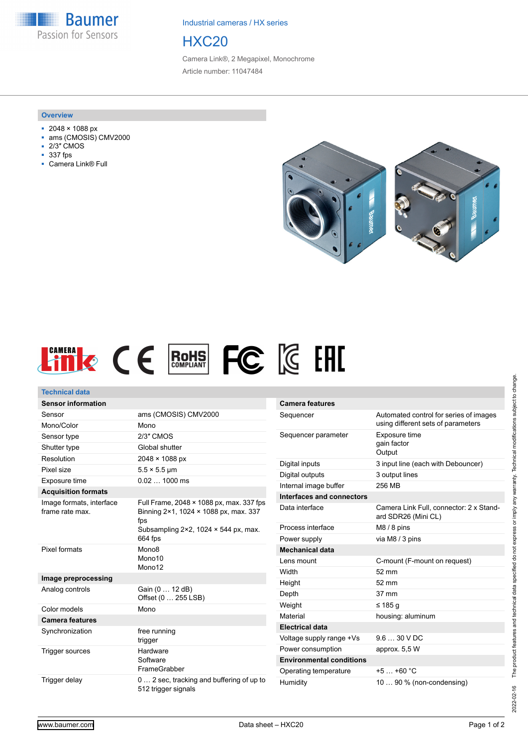**Baumer** Passion for Sensors

Industrial cameras / HX series

# HXC20

Camera Link®, 2 Megapixel, Monochrome Article number: 11047484

#### **Overview**

- 2048 × 1088 px
- ams (CMOSIS) CMV2000
- 2/3″ CMOS
- 337 fps
- Camera Link® Full





| <b>Technical data</b>                       |                                                                                   |                   |
|---------------------------------------------|-----------------------------------------------------------------------------------|-------------------|
| <b>Sensor information</b>                   |                                                                                   | Camer             |
| Sensor                                      | ams (CMOSIS) CMV2000                                                              | Sequer            |
| Mono/Color                                  | Mono                                                                              |                   |
| Sensor type                                 | 2/3" CMOS                                                                         | Sequer            |
| Shutter type                                | Global shutter                                                                    |                   |
| Resolution                                  | 2048 × 1088 px                                                                    | Digital           |
| Pixel size                                  | $5.5 \times 5.5$ µm                                                               | Digital           |
| Exposure time                               | 0.02  1000 ms                                                                     | Interna           |
| <b>Acquisition formats</b>                  |                                                                                   | Interfa           |
| Image formats, interface<br>frame rate max. | Full Frame, 2048 × 1088 px, max. 337 fps<br>Binning 2×1, 1024 × 1088 px, max. 337 | Data in           |
|                                             | fps<br>Subsampling $2 \times 2$ , 1024 $\times$ 544 px, max.                      | Proces            |
|                                             | 664 fps                                                                           | Power             |
| Pixel formats                               | Mono <sub>8</sub>                                                                 | Mecha             |
|                                             | Mono10                                                                            | Lens <sub>m</sub> |
|                                             | Mono12                                                                            | Width             |
| Image preprocessing                         |                                                                                   | Height            |
| Analog controls                             | Gain (0  12 dB)<br>Offset (0  255 LSB)                                            | Depth             |
| Color models                                | Mono                                                                              | Weight            |
| <b>Camera features</b>                      |                                                                                   | Materia           |
| Synchronization                             | free running                                                                      | Electri           |
|                                             | trigger                                                                           | Voltage           |
| Trigger sources                             | Hardware<br>Software                                                              | Power             |
|                                             |                                                                                   | <b>Enviro</b>     |
|                                             | FrameGrabber                                                                      | Operat            |
| Trigger delay                               | 0 2 sec, tracking and buffering of up to<br>512 trigger signals                   | Humidi            |

| <b>Camera features</b>          |                                                                              |
|---------------------------------|------------------------------------------------------------------------------|
| Sequencer                       | Automated control for series of images<br>using different sets of parameters |
| Sequencer parameter             | Exposure time<br>gain factor<br>Output                                       |
| Digital inputs                  | 3 input line (each with Debouncer)                                           |
| Digital outputs                 | 3 output lines                                                               |
| Internal image buffer           | 256 MB                                                                       |
| Interfaces and connectors       |                                                                              |
| Data interface                  | Camera Link Full, connector: 2 x Stand-<br>ard SDR26 (Mini CL)               |
| Process interface               | $M8/8$ pins                                                                  |
| Power supply                    | via M8 / 3 pins                                                              |
| <b>Mechanical data</b>          |                                                                              |
| Lens mount                      | C-mount (F-mount on request)                                                 |
| Width                           | 52 mm                                                                        |
| Height                          | 52 mm                                                                        |
| Depth                           | $37 \text{ mm}$                                                              |
| Weight                          | ≤ 185 a                                                                      |
| Material                        | housing: aluminum                                                            |
| <b>Electrical data</b>          |                                                                              |
| Voltage supply range +Vs        | $9.630$ VDC                                                                  |
| Power consumption               | approx. 5,5 W                                                                |
| <b>Environmental conditions</b> |                                                                              |
| Operating temperature           | $+5$ $+60$ °C                                                                |
| Humidity                        | 10  90 % (non-condensing)                                                    |